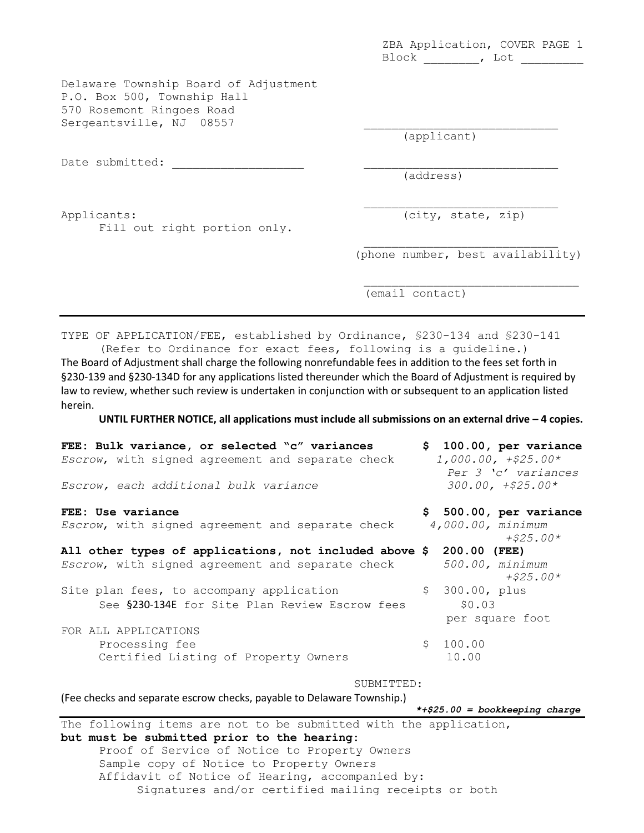ZBA Application, COVER PAGE 1 Block \_\_\_\_\_\_\_\_, Lot \_\_\_\_\_\_\_\_\_

Delaware Township Board of Adjustment P.O. Box 500, Township Hall 570 Rosemont Ringoes Road Sergeantsville, NJ 08557

Date submitted:

(applicant)

(address)

Applicants: (city, state, zip) Fill out right portion only.

 $\overline{\phantom{a}}$  , and the set of the set of the set of the set of the set of the set of the set of the set of the set of the set of the set of the set of the set of the set of the set of the set of the set of the set of the s

 $\mathcal{L}=\mathcal{L}^{\mathcal{L}}$  , where  $\mathcal{L}^{\mathcal{L}}$  , we have the set of the set of the set of the set of the set of the set of the set of the set of the set of the set of the set of the set of the set of the set of the set of (phone number, best availability)

\_\_\_\_\_\_\_\_\_\_\_\_\_\_\_\_\_\_\_\_\_\_\_\_\_\_\_\_\_\_\_

(email contact)

TYPE OF APPLICATION/FEE, established by Ordinance, §230-134 and §230-141 (Refer to Ordinance for exact fees, following is a guideline.)

The Board of Adjustment shall charge the following nonrefundable fees in addition to the fees set forth in §230-139 and §230-134D for any applications listed thereunder which the Board of Adjustment is required by law to review, whether such review is undertaken in conjunction with or subsequent to an application listed herein.

**UNTIL FURTHER NOTICE, all applications must include all submissions on an external drive – 4 copies.** 

| FEE: Bulk variance, or selected "c" variances<br>Escrow, with signed agreement and separate check<br>Escrow, each additional bulk variance |    |                           | \$100.00, per variance<br>$1,000.00, +$25.00*$<br>Per 3 'c' variances<br>$300.00, + $25.00*$ |
|--------------------------------------------------------------------------------------------------------------------------------------------|----|---------------------------|----------------------------------------------------------------------------------------------|
| FEE: Use variance<br>Escrow, with signed agreement and separate check                                                                      |    | 4,000.00, minimum         | \$ 500.00, per variance                                                                      |
| All other types of applications, not included above \$ 200.00 (FEE)                                                                        |    |                           | $+ $25.00*$                                                                                  |
| Escrow, with signed agreement and separate check                                                                                           |    |                           | 500.00, minimum<br>$+ $25.00*$                                                               |
| Site plan fees, to accompany application<br>See §230-134E for Site Plan Review Escrow fees                                                 |    | \$ 300.00, plus<br>\$0.03 | per square foot                                                                              |
| FOR ALL APPLICATIONS                                                                                                                       |    |                           |                                                                                              |
| Processing fee<br>Certified Listing of Property Owners                                                                                     | \$ | 100.00<br>10.00           |                                                                                              |
| SUBMITTED:                                                                                                                                 |    |                           |                                                                                              |
| (Fee checks and separate escrow checks, payable to Delaware Township.)<br>$*+25.00 = bookkeeping charge$                                   |    |                           |                                                                                              |
| The following items are not to be submitted with the application,                                                                          |    |                           |                                                                                              |

**but must be submitted prior to the hearing:**  Proof of Service of Notice to Property Owners Sample copy of Notice to Property Owners Affidavit of Notice of Hearing, accompanied by: Signatures and/or certified mailing receipts or both